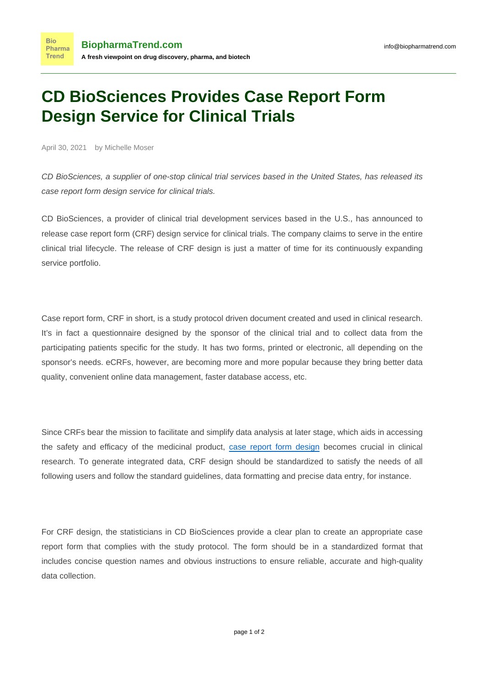## **CD BioSciences Provides Case Report Form Design Service for Clinical Trials**

April 30, 2021 by Michelle Moser

CD BioSciences, a supplier of one-stop clinical trial services based in the United States, has released its case report form design service for clinical trials.

CD BioSciences, a provider of clinical trial development services based in the U.S., has announced to release case report form (CRF) design service for clinical trials. The company claims to serve in the entire clinical trial lifecycle. The release of CRF design is just a matter of time for its continuously expanding service portfolio.

Case report form, CRF in short, is a study protocol driven document created and used in clinical research. It's in fact a questionnaire designed by the sponsor of the clinical trial and to collect data from the participating patients specific for the study. It has two forms, printed or electronic, all depending on the sponsor's needs. eCRFs, however, are becoming more and more popular because they bring better data quality, convenient online data management, faster database access, etc.

Since CRFs bear the mission to facilitate and simplify data analysis at later stage, which aids in accessing the safety and efficacy of the medicinal product, [case report form design](https://www.cd-biosciences.com/crf-design/) becomes crucial in clinical research. To generate integrated data, CRF design should be standardized to satisfy the needs of all following users and follow the standard guidelines, data formatting and precise data entry, for instance.

For CRF design, the statisticians in CD BioSciences provide a clear plan to create an appropriate case report form that complies with the study protocol. The form should be in a standardized format that includes concise question names and obvious instructions to ensure reliable, accurate and high-quality data collection.